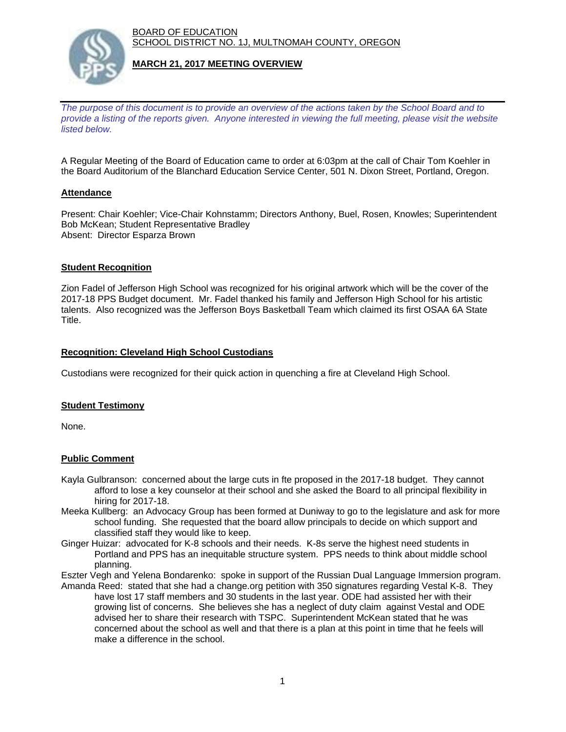BOARD OF EDUCATION SCHOOL DISTRICT NO. 1J, MULTNOMAH COUNTY, OREGON



### **MARCH 21, 2017 MEETING OVERVIEW**

*The purpose of this document is to provide an overview of the actions taken by the School Board and to provide a listing of the reports given. Anyone interested in viewing the full meeting, please visit the website listed below.*

A Regular Meeting of the Board of Education came to order at 6:03pm at the call of Chair Tom Koehler in the Board Auditorium of the Blanchard Education Service Center, 501 N. Dixon Street, Portland, Oregon.

### **Attendance**

Present: Chair Koehler; Vice-Chair Kohnstamm; Directors Anthony, Buel, Rosen, Knowles; Superintendent Bob McKean; Student Representative Bradley Absent: Director Esparza Brown

### **Student Recognition**

Zion Fadel of Jefferson High School was recognized for his original artwork which will be the cover of the 2017-18 PPS Budget document. Mr. Fadel thanked his family and Jefferson High School for his artistic talents. Also recognized was the Jefferson Boys Basketball Team which claimed its first OSAA 6A State Title.

### **Recognition: Cleveland High School Custodians**

Custodians were recognized for their quick action in quenching a fire at Cleveland High School.

# **Student Testimony**

None.

# **Public Comment**

- Kayla Gulbranson: concerned about the large cuts in fte proposed in the 2017-18 budget. They cannot afford to lose a key counselor at their school and she asked the Board to all principal flexibility in hiring for 2017-18.
- Meeka Kullberg: an Advocacy Group has been formed at Duniway to go to the legislature and ask for more school funding. She requested that the board allow principals to decide on which support and classified staff they would like to keep.
- Ginger Huizar: advocated for K-8 schools and their needs. K-8s serve the highest need students in Portland and PPS has an inequitable structure system. PPS needs to think about middle school planning.

Eszter Vegh and Yelena Bondarenko: spoke in support of the Russian Dual Language Immersion program. Amanda Reed: stated that she had a change.org petition with 350 signatures regarding Vestal K-8. They

 have lost 17 staff members and 30 students in the last year. ODE had assisted her with their growing list of concerns. She believes she has a neglect of duty claim against Vestal and ODE advised her to share their research with TSPC. Superintendent McKean stated that he was concerned about the school as well and that there is a plan at this point in time that he feels will make a difference in the school.